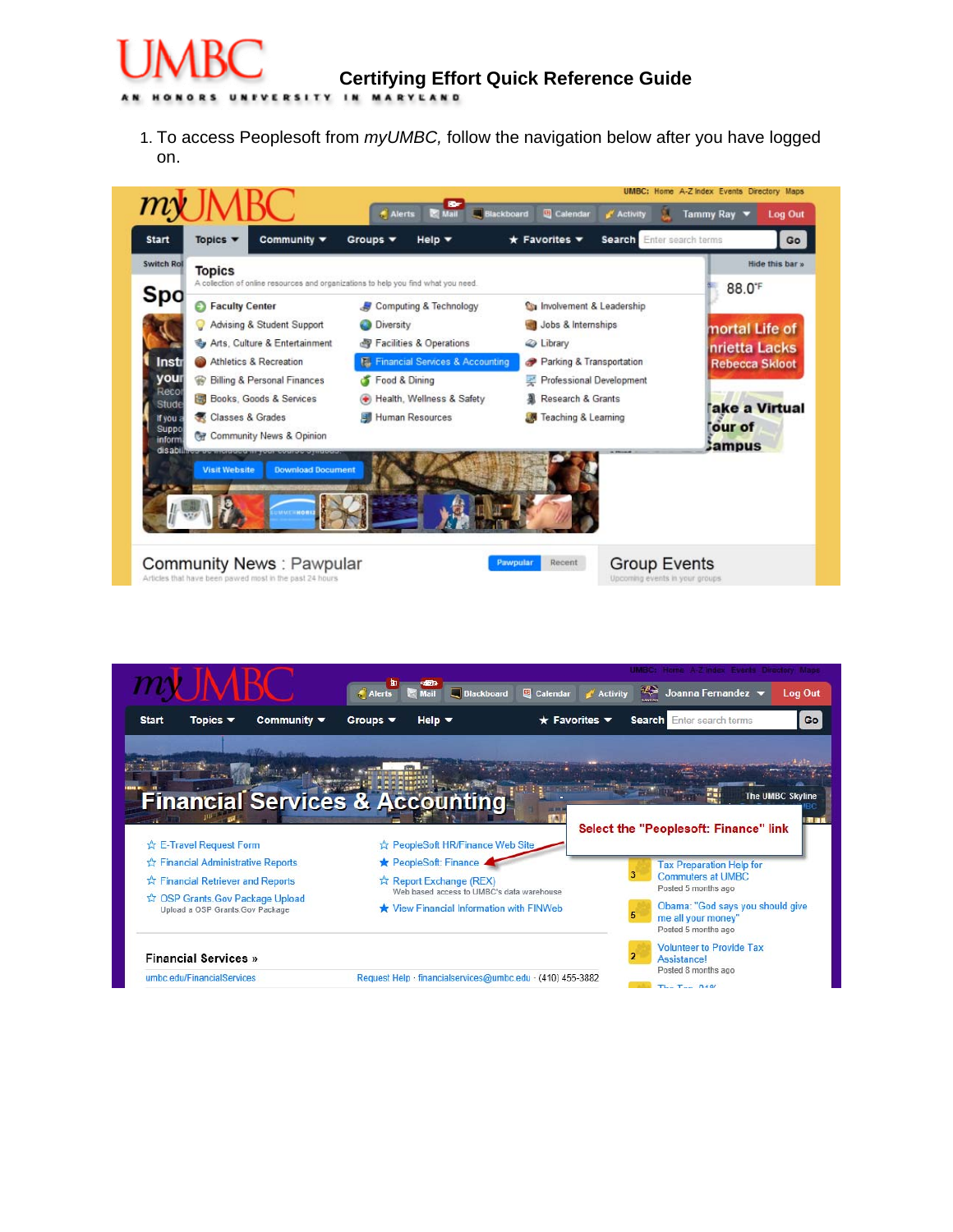

1. To access Peoplesoft from *myUMBC,* follow the navigation below after you have logged on.



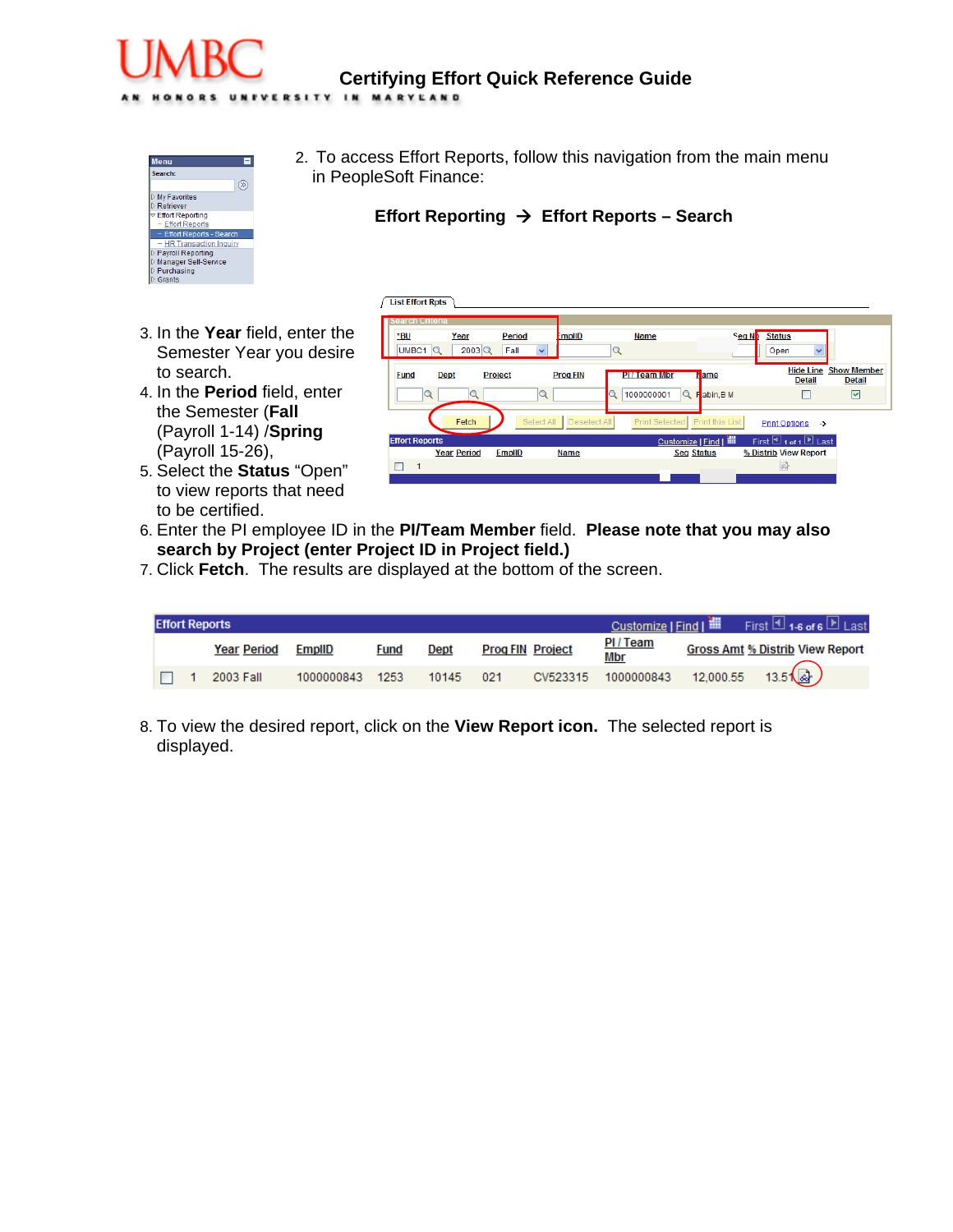# **Certifying Effort Quick Reference Guide**

UNFVERSITY IN MARYLAND



2. To access Effort Reports, follow this navigation from the main menu in PeopleSoft Finance:

## **Effort Reporting → Effort Reports – Search**

- 3. In the **Year** field, enter the Semester Year you desire to search.
- 4. In the **Period** field, enter the Semester (**Fall** (Payroll 1-14) /**Spring** (Payroll 15-26),
- 5. Select the **Status** "Open" to view reports that need to be certified.

|             | <b>List Effort Rpts</b> |                     |                      |                 |                                |                       |                                                                   |                                     |
|-------------|-------------------------|---------------------|----------------------|-----------------|--------------------------------|-----------------------|-------------------------------------------------------------------|-------------------------------------|
|             | <b>Search Criteria</b>  |                     |                      |                 |                                |                       |                                                                   |                                     |
| *BU         |                         | Year                | Period               | <b>EmplID</b>   | <b>Name</b>                    | Seq N <sub>D</sub>    | <b>Status</b>                                                     |                                     |
| UMBC1       | Q                       | $2003$ <sup>Q</sup> | $\checkmark$<br>Fall |                 | Q                              |                       | Open<br>$\checkmark$                                              |                                     |
| <b>Fund</b> | <b>Dept</b>             |                     | <b>Project</b>       | <b>Prog FIN</b> | <b>PITTeam Mbr</b>             | <b>N</b> ame          | <b>Hide Line</b><br><b>Detail</b>                                 | <b>Show Member</b><br><b>Detail</b> |
|             | Q                       |                     | Q                    |                 | 1000000001<br>Q<br>Q           | Fabin, B M            |                                                                   | ☑                                   |
|             |                         | Fetch               | Select All           | Deselect All    | Print Selected Print this List |                       | <b>Print Options</b><br>$\rightarrow$                             |                                     |
|             | <b>Effort Reports</b>   |                     |                      |                 |                                | Customize   Find   TH | First $\overline{\mathbb{1}}$ 1 of 1 $\overline{\mathbb{B}}$ Last |                                     |
|             |                         | <b>Year Period</b>  | <b>EmplID</b>        | <b>Name</b>     |                                | <b>Seq Status</b>     | % Distrib View Report                                             |                                     |
|             | 1                       |                     |                      |                 |                                |                       | 园                                                                 |                                     |
|             |                         |                     |                      |                 |                                |                       |                                                                   |                                     |

- 6. Enter the PI employee ID in the **PI/Team Member** field. **Please note that you may also search by Project (enter Project ID in Project field.)**
- 7. Click **Fetch**. The results are displayed at the bottom of the screen.

|  | <b>Effort Reports</b> |                 |             |       |     |                         |                       |                                             |
|--|-----------------------|-----------------|-------------|-------|-----|-------------------------|-----------------------|---------------------------------------------|
|  | <b>Year Period</b>    | EmpliD          | <b>Fund</b> | Dept  |     | <b>Prog FIN Project</b> | <b>PI/Team</b><br>Mbr | <b>Gross Amt % Distrib View Report</b>      |
|  | 2003 Fall             | 1000000843 1253 |             | 10145 | 021 |                         | CV523315 1000000843   | $12,000.55$ $13.5\left(\frac{1}{66}\right)$ |

8. To view the desired report, click on the **View Report icon.** The selected report is displayed.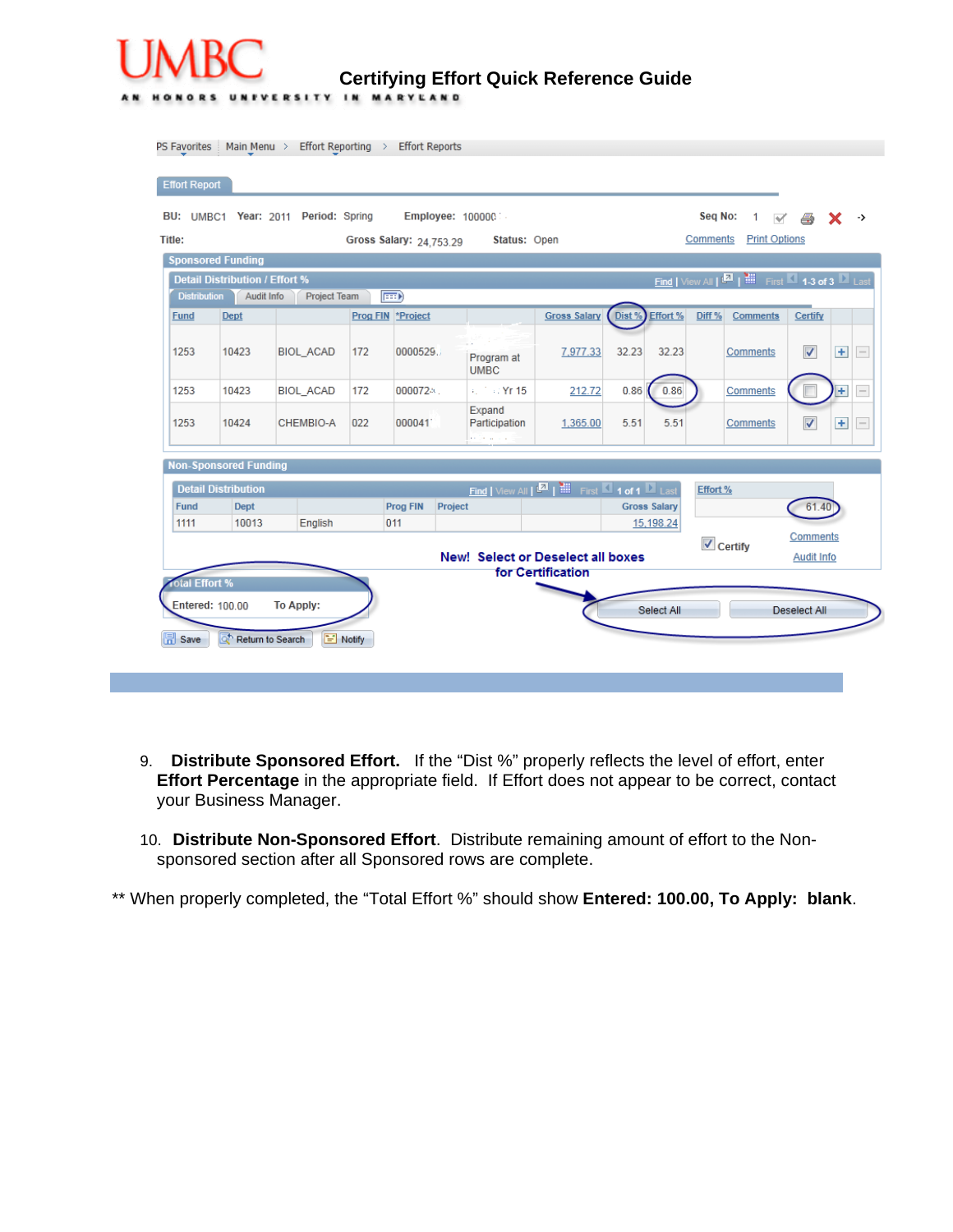

**Certifying Effort Quick Reference Guide** 

| Title:              |                                           | BU: UMBC1 Year: 2011 Period: Spring |                   |                         | Employee: 100000                         |                                                                                    |                     |           | Seq No:<br>Comments          | $1 \vee \triangle$<br>x<br><b>Print Options</b>                             |
|---------------------|-------------------------------------------|-------------------------------------|-------------------|-------------------------|------------------------------------------|------------------------------------------------------------------------------------|---------------------|-----------|------------------------------|-----------------------------------------------------------------------------|
|                     | <b>Sponsored Funding</b>                  |                                     |                   | Gross Salary: 24,753.29 | Status: Open                             |                                                                                    |                     |           |                              |                                                                             |
|                     | <b>Detail Distribution / Effort %</b>     |                                     |                   |                         |                                          |                                                                                    |                     |           |                              | Find   View All   <b>Mart   Milli</b> First <b>M</b> 1-3 of 3 <b>M</b> Last |
| <b>Distribution</b> | Audit Info                                | Project Team                        | $\boxed{=}$       |                         |                                          |                                                                                    |                     |           |                              |                                                                             |
| <b>Fund</b>         | <b>Dept</b>                               |                                     | Prog FIN *Project |                         |                                          | <b>Gross Salary</b>                                                                | Dist %              | Effort %  | Diff %<br><b>Comments</b>    | Certify                                                                     |
| 1253                | 10423                                     | <b>BIOL ACAD</b>                    | 172               | 0000529                 | Program at<br><b>UMBC</b>                | 7,977.33                                                                           | 32.23               | 32.23     | Comments                     | $\checkmark$<br>$+$                                                         |
| 1253                | 10423                                     | <b>BIOL_ACAD</b>                    | 172               | 0000724                 | + 2 + 2 Yr 15                            | 212.72                                                                             | 0.86                | 0.86      | Comments                     | $+$                                                                         |
| 1253                | 10424                                     | CHEMBIO-A                           | 022               | 000041                  | Expand<br>Participation                  | 1,365.00                                                                           | 5.51                | 5.51      | Comments                     | $\overline{\mathsf{v}}$<br>$+$                                              |
|                     | <b>Non-Sponsored Funding</b>              |                                     |                   |                         |                                          |                                                                                    |                     |           |                              |                                                                             |
|                     |                                           |                                     |                   |                         |                                          |                                                                                    |                     |           |                              |                                                                             |
| <b>Fund</b>         | <b>Detail Distribution</b><br><b>Dept</b> |                                     |                   | Prog FIN                | Project                                  | Find   View All   <b>ELL</b>   <b>HELL</b> First <b>ELL</b> 1 of 1 <b>ELL</b> Last | <b>Gross Salary</b> |           | Effort %                     | 61.40                                                                       |
| 1111                | 10013                                     | English                             |                   | 011                     |                                          |                                                                                    |                     | 15,198.24 |                              |                                                                             |
|                     |                                           |                                     |                   |                         | <b>New! Select or Deselect all boxes</b> |                                                                                    |                     |           | $\sqrt{\phantom{a}}$ Certify | Comments<br>Audit Info                                                      |
| otal Effort %       |                                           |                                     |                   |                         |                                          | for Certification                                                                  |                     |           |                              |                                                                             |
|                     | Entered: 100.00                           | <b>To Apply:</b>                    |                   |                         |                                          |                                                                                    |                     |           |                              |                                                                             |

- 9. **Distribute Sponsored Effort.** If the "Dist %" properly reflects the level of effort, enter **Effort Percentage** in the appropriate field. If Effort does not appear to be correct, contact your Business Manager.
- 10. **Distribute Non-Sponsored Effort**. Distribute remaining amount of effort to the Nonsponsored section after all Sponsored rows are complete.

\*\* When properly completed, the "Total Effort %" should show **Entered: 100.00, To Apply: blank**.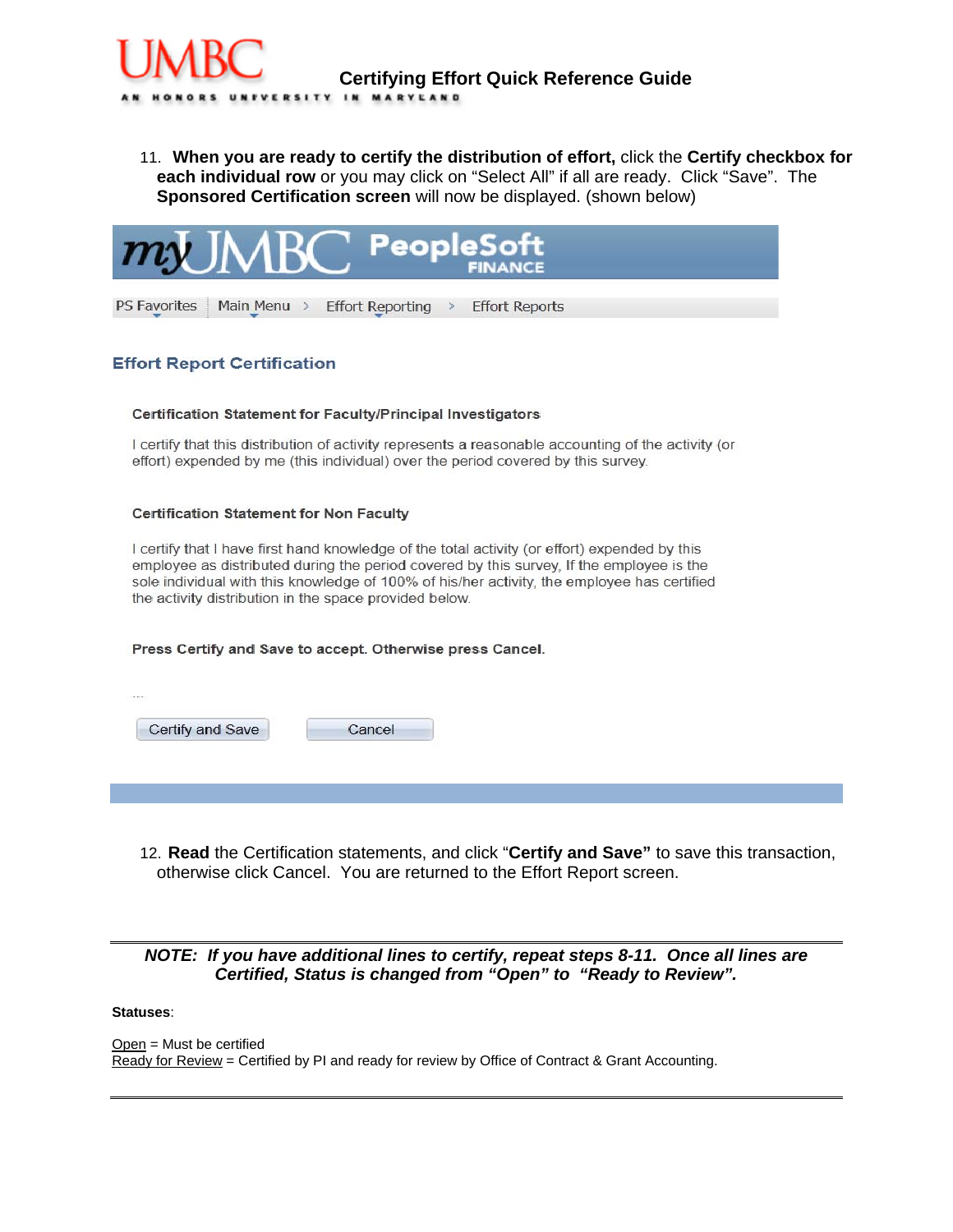

11. **When you are ready to certify the distribution of effort,** click the **Certify checkbox for each individual row** or you may click on "Select All" if all are ready. Click "Save". The **Sponsored Certification screen** will now be displayed. (shown below)



### **Effort Report Certification**

#### Certification Statement for Faculty/Principal Investigators

I certify that this distribution of activity represents a reasonable accounting of the activity (or effort) expended by me (this individual) over the period covered by this survey.

#### **Certification Statement for Non Faculty**

I certify that I have first hand knowledge of the total activity (or effort) expended by this employee as distributed during the period covered by this survey, If the employee is the sole individual with this knowledge of 100% of his/her activity, the employee has certified the activity distribution in the space provided below.

#### Press Certify and Save to accept. Otherwise press Cancel.

| Cancel |
|--------|
|        |

12. **Read** the Certification statements, and click "**Certify and Save"** to save this transaction, otherwise click Cancel. You are returned to the Effort Report screen.

## *NOTE: If you have additional lines to certify, repeat steps 8-11. Once all lines are Certified, Status is changed from "Open" to "Ready to Review".*

#### **Statuses**:

Open = Must be certified Ready for Review = Certified by PI and ready for review by Office of Contract & Grant Accounting.